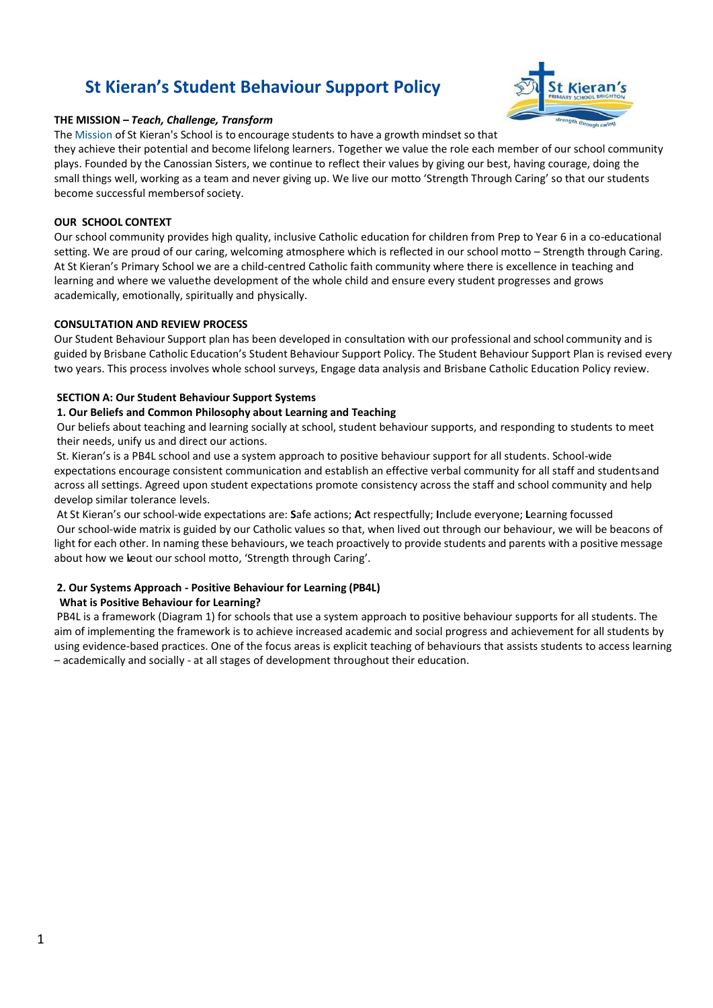# **St Kieran's Student Behaviour Support Policy**

## **THE MISSION –** *Teach, Challenge, Transform*

The Mission of St Kieran's School is to encourage students to have a growth mindset so that

they achieve their potential and become lifelong learners. Together we value the role each member of our school community plays. Founded by the Canossian Sisters, we continue to reflect their values by giving our best, having courage, doing the small things well, working as a team and never giving up. We live our motto 'Strength Through Caring' so that our students become successful members of society.

### **OUR SCHOOL CONTEXT**

Our school community provides high quality, inclusive Catholic education for children from Prep to Year 6 in a co-educational setting. We are proud of our caring, welcoming atmosphere which is reflected in our school motto – Strength through Caring. At St Kieran's Primary School we are a child-centred Catholic faith community where there is excellence in teaching and learning and where we valuethe development of the whole child and ensure every student progresses and grows academically, emotionally, spiritually and physically.

## **CONSULTATION AND REVIEW PROCESS**

Our Student Behaviour Support plan has been developed in consultation with our professional and school community and is guided by Brisbane Catholic Education's Student Behaviour Support Policy. The Student Behaviour Support Plan is revised every two years. This process involves whole school surveys, Engage data analysis and Brisbane Catholic Education Policy review.

## **SECTION A: Our Student Behaviour Support Systems**

#### **1. Our Beliefs and Common Philosophy about Learning and Teaching**

Our beliefs about teaching and learning socially at school, student behaviour supports, and responding to students to meet their needs, unify us and direct our actions.

St. Kieran's is a PB4L school and use a system approach to positive behaviour support for all students. School-wide expectations encourage consistent communication and establish an effective verbal community for all staff and studentsand across all settings. Agreed upon student expectations promote consistency across the staff and school community and help develop similar tolerance levels.

At St Kieran's our school-wide expectations are: **S**afe actions; **A**ct respectfully; **I**nclude everyone; **L**earning focussed Our school-wide matrix is guided by our Catholic values so that, when lived out through our behaviour, we will be beacons of light for each other. In naming these behaviours, we teach proactively to provide students and parents with a positive message about how we leout our school motto, 'Strength through Caring'.

# **2. Our Systems Approach - Positive Behaviour for Learning (PB4L)**

# **What is Positive Behaviour for Learning?**

PB4L is a framework (Diagram 1) for schools that use a system approach to positive behaviour supports for all students. The aim of implementing the framework is to achieve increased academic and social progress and achievement for all students by using evidence-based practices. One of the focus areas is explicit teaching of behaviours that assists students to access learning – academically and socially - at all stages of development throughout their education.

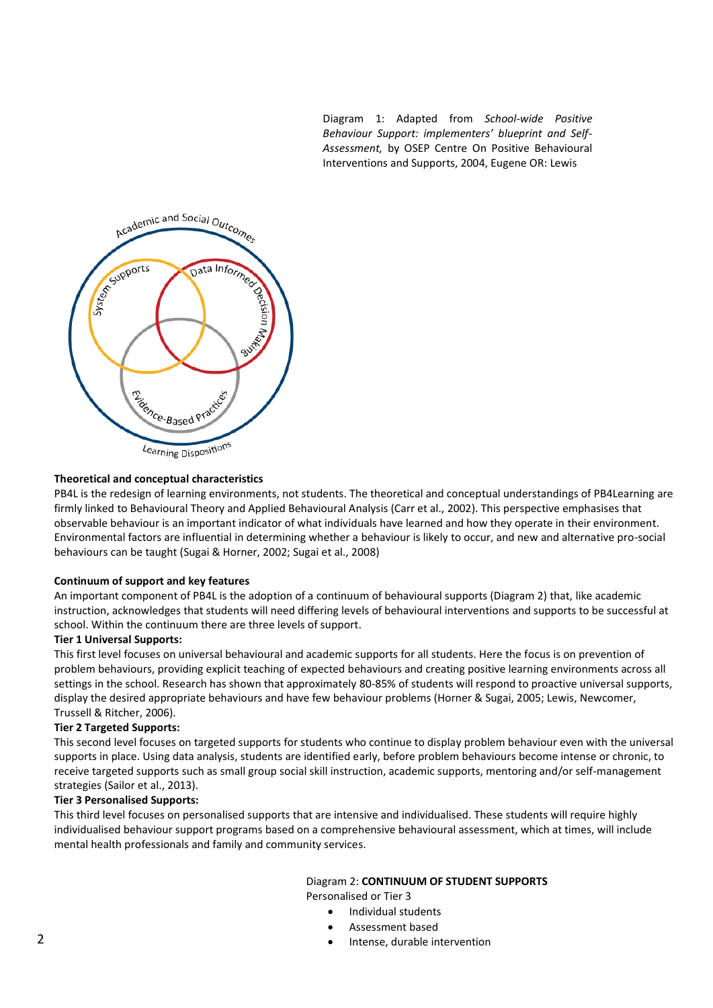Diagram 1: Adapted from *School-wide Positive Behaviour Support: implementers' blueprint and Self-Assessment,* by OSEP Centre On Positive Behavioural Interventions and Supports, 2004, Eugene OR: Lewis



## **Theoretical and conceptual characteristics**

PB4L is the redesign of learning environments, not students. The theoretical and conceptual understandings of PB4Learning are firmly linked to Behavioural Theory and Applied Behavioural Analysis (Carr et al., 2002). This perspective emphasises that observable behaviour is an important indicator of what individuals have learned and how they operate in their environment. Environmental factors are influential in determining whether a behaviour is likely to occur, and new and alternative pro-social behaviours can be taught (Sugai & Horner, 2002; Sugai et al., 2008)

#### **Continuum of support and key features**

An important component of PB4L is the adoption of a continuum of behavioural supports (Diagram 2) that, like academic instruction, acknowledges that students will need differing levels of behavioural interventions and supports to be successful at school. Within the continuum there are three levels of support.

#### **Tier 1 Universal Supports:**

This first level focuses on universal behavioural and academic supports for all students. Here the focus is on prevention of problem behaviours, providing explicit teaching of expected behaviours and creating positive learning environments across all settings in the school. Research has shown that approximately 80-85% of students will respond to proactive universal supports, display the desired appropriate behaviours and have few behaviour problems (Horner & Sugai, 2005; Lewis, Newcomer, Trussell & Ritcher, 2006).

#### **Tier 2 Targeted Supports:**

This second level focuses on targeted supports for students who continue to display problem behaviour even with the universal supports in place. Using data analysis, students are identified early, before problem behaviours become intense or chronic, to receive targeted supports such as small group social skill instruction, academic supports, mentoring and/or self-management strategies (Sailor et al., 2013).

#### **Tier 3 Personalised Supports:**

This third level focuses on personalised supports that are intensive and individualised. These students will require highly individualised behaviour support programs based on a comprehensive behavioural assessment, which at times, will include mental health professionals and family and community services.

# Diagram 2: **CONTINUUM OF STUDENT SUPPORTS**

Personalised or Tier 3

- Individual students
- Assessment based
- Intense, durable intervention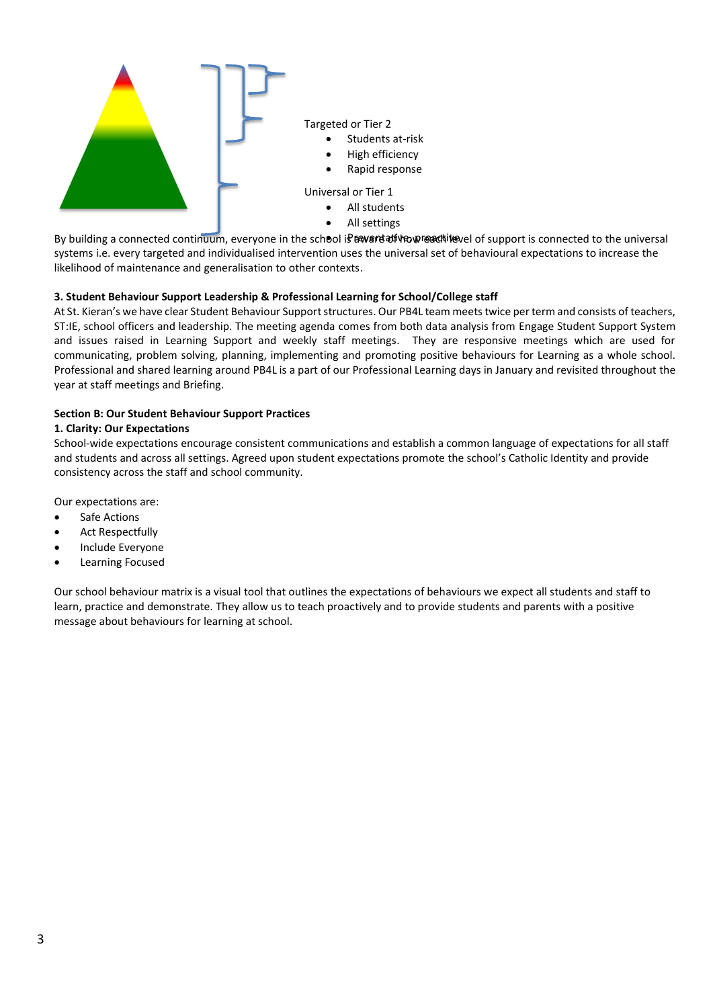

Targeted or Tier 2

- Students at-risk
- High efficiency
- Rapid response

Universal or Tier 1

- All students
- All settings

By building a connected continuum, everyone in the school is bevert at va weach level of support is connected to the universal systems i.e. every targeted and individualised intervention uses the universal set of behavioural expectations to increase the • likelihood of maintenance and generalisation to other contexts.

## **3. Student Behaviour Support Leadership & Professional Learning for School/College staff**

At St. Kieran's we have clear Student Behaviour Support structures. Our PB4L team meets twice per term and consists of teachers, ST:IE, school officers and leadership. The meeting agenda comes from both data analysis from Engage Student Support System and issues raised in Learning Support and weekly staff meetings. They are responsive meetings which are used for communicating, problem solving, planning, implementing and promoting positive behaviours for Learning as a whole school. Professional and shared learning around PB4L is a part of our Professional Learning days in January and revisited throughout the year at staff meetings and Briefing.

#### **Section B: Our Student Behaviour Support Practices**

#### **1. Clarity: Our Expectations**

School-wide expectations encourage consistent communications and establish a common language of expectations for all staff and students and across all settings. Agreed upon student expectations promote the school's Catholic Identity and provide consistency across the staff and school community.

Our expectations are:

- Safe Actions
- Act Respectfully
- Include Everyone
- Learning Focused

Our school behaviour matrix is a visual tool that outlines the expectations of behaviours we expect all students and staff to learn, practice and demonstrate. They allow us to teach proactively and to provide students and parents with a positive message about behaviours for learning at school.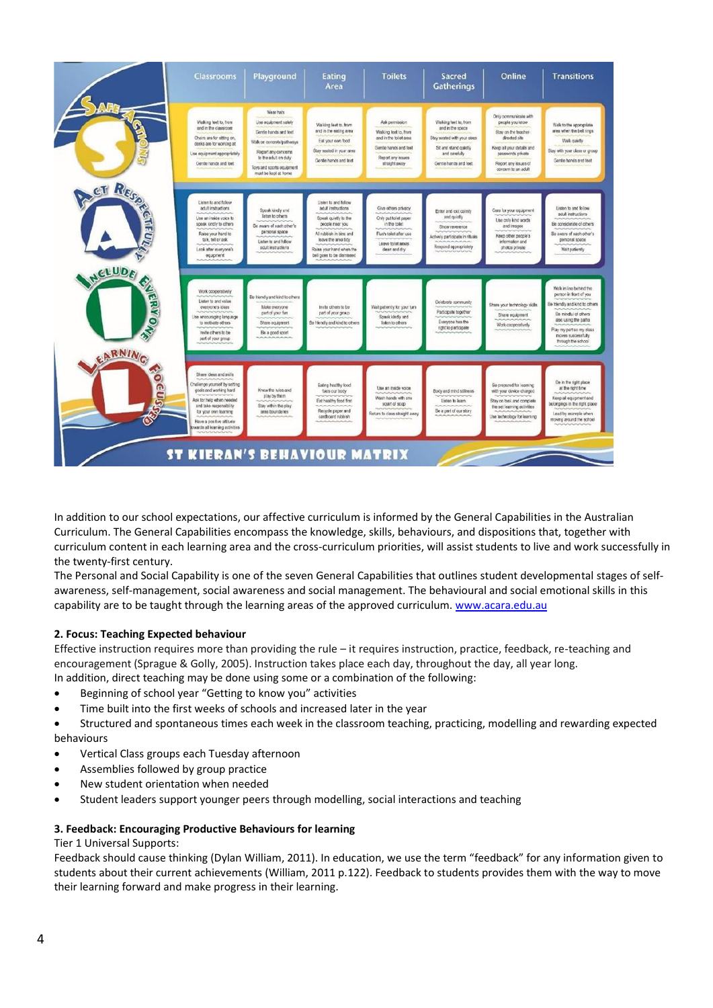| <b>Classrooms</b>                                                                                                                                                                                                                                          | Playground                                                                                                                                                                                  | Eating<br>Area                                                                                                                                                                                   | <b>Toilets</b>                                                                                                                    | <b>Sacred</b><br><b>Gatherings</b>                                                                                                         | Online                                                                                                                                                                               | <b>Transitions</b>                                                                                                                                                                                          |
|------------------------------------------------------------------------------------------------------------------------------------------------------------------------------------------------------------------------------------------------------------|---------------------------------------------------------------------------------------------------------------------------------------------------------------------------------------------|--------------------------------------------------------------------------------------------------------------------------------------------------------------------------------------------------|-----------------------------------------------------------------------------------------------------------------------------------|--------------------------------------------------------------------------------------------------------------------------------------------|--------------------------------------------------------------------------------------------------------------------------------------------------------------------------------------|-------------------------------------------------------------------------------------------------------------------------------------------------------------------------------------------------------------|
| Walking feet to, from<br>and in the classroom<br>Chairs are for sitting on,<br>desks are for working at<br>Use equipment appropriately<br>Gentle hands and feet                                                                                            | Wear hats<br>Use equipment safely<br>Gentle hands and feet<br>Walk on concrete pathways<br>Report any concerns<br>to the adult on duty<br>Toys and sports equipment<br>must be kept at home | Walking feet to, from<br>and in the eating area<br>Eat your own tood<br>Stay seated in your area<br>Gentle hands and feet                                                                        | Ask permission<br>Walking feet to, from<br>and in the tollet area.<br>Gentle hands and feet<br>Report any issues<br>straight away | Walking feet to, from<br>and in the space<br>Stay sealed with your dass<br>Sit and stand quietly<br>and carefully<br>Gentle hands and feet | Drily communicate with<br>people you know<br>Stay on the teacher-<br>directed site<br>Keep all your details and<br>pesswords private<br>Report any issues of<br>concern to an adult. | Walk to the appropriate<br>area when the bell rings<br>Walk quiety<br>Stay with your class or group<br>Gentle hands and feet                                                                                |
| <b>CT RES</b><br>Listen to and follow<br>adult instructions<br>Use an inside voice to<br><b>TIP</b><br>speak kindly to others<br>Raise your hand to<br>talk, toll or ask<br>Look after everyone's<br>equipment                                             | Speak kindly and<br>fisten to others.<br>Be aware of each other's<br>personal space<br>Listen to and follow<br>sdult instructions                                                           | Listen to and follow<br>adult instructions<br>Speak quietly to the<br>people near you<br>All rubbish in bins and<br>leave the area tidy<br>Raise your hand when the<br>bell goes to be dismissed | Give others privacy<br>Only put follet paper<br>in the toilet<br>Flush toilet after use<br>Leave tolet areas<br>clean and dry     | Enter and exit calmly<br>and quiotly<br>Show reverence<br>Actively participate in rituals<br>Respond appropriately                         | Care for your equipment<br>Use only kind words<br>and images<br>Keep other people's<br>information and<br>photos private                                                             | Listen to and follow<br>adult instructions<br>Be considerate of others<br>Be aware of each other's<br>personal space<br>Weit patiently                                                                      |
| NELUDE<br>Work cooperatively<br><b>ERYOWE</b><br>Listen to and value<br>everyone's ideas<br>Jse encouraging language<br>to motivate others<br>Invite others to be<br>pert of your group                                                                    | Be friendly and kind to others<br>Make everyone<br>part of your fun<br>Share equipment<br>Be a good sport                                                                                   | Invite others to be<br>part of your group<br>Se friendly and kind to others                                                                                                                      | Wait patiently for your turn<br>Speak kindly and<br><b>Islan to others</b>                                                        | Celebrate community<br>Participate together<br>Everyone has the<br>right to participate                                                    | Share your technology skills.<br>Share equipment<br>Work cooperatively                                                                                                               | Walk in line behind the<br>person in front of you<br>Be friendly and kind to others<br>Be mindful of others<br>also using the paths<br>Play my part so my daes<br>moves successfully<br>through the school. |
| EARNING<br>Share ideas and skills<br><b>Ocuse</b><br>Challenge yourself by setting<br>goals and working hard<br>Ask for help when needed<br>and take responsibility<br>for your own learning<br>Have a positive affitude<br>bwards all learning activities | Know the rules and<br>play by them<br>Stay within the play.<br>area boundaries                                                                                                              | Eating healthy food<br>fuels our body<br>Eat healthy food first<br>Recycle paper and<br>rieidoard rubbish                                                                                        | Use an inside voice<br>Wash hands with one<br>quart of scop<br>Return to class straight away                                      | Body and mind stillness<br>Listen to learn<br>Be a part of our story                                                                       | Be prepared for learning<br>with your dovice charged<br>Stay on task and complete.<br>the set learning activities.<br>Use technology for learning                                    | Be in the right place<br>at the right time<br>Keep all equipment and<br>belongings in the right place<br>Lead by example when<br>moving around the school                                                   |

In addition to our school expectations, our affective curriculum is informed by the General Capabilities in the Australian Curriculum. The General Capabilities encompass the knowledge, skills, behaviours, and dispositions that, together with curriculum content in each learning area and the cross-curriculum priorities, will assist students to live and work successfully in the twenty-first century.

The Personal and Social Capability is one of the seven General Capabilities that outlines student developmental stages of selfawareness, self-management, social awareness and social management. The behavioural and social emotional skills in this capability are to be taught through the learning areas of the approved curriculum[. www.acara.edu.au](http://www.acara.edu.au/)

# **2. Focus: Teaching Expected behaviour**

Effective instruction requires more than providing the rule – it requires instruction, practice, feedback, re-teaching and encouragement (Sprague & Golly, 2005). Instruction takes place each day, throughout the day, all year long. In addition, direct teaching may be done using some or a combination of the following:

- Beginning of school year "Getting to know you" activities
- Time built into the first weeks of schools and increased later in the year

• Structured and spontaneous times each week in the classroom teaching, practicing, modelling and rewarding expected behaviours

- Vertical Class groups each Tuesday afternoon
- Assemblies followed by group practice
- New student orientation when needed
- Student leaders support younger peers through modelling, social interactions and teaching

# **3. Feedback: Encouraging Productive Behaviours for learning**

#### Tier 1 Universal Supports:

Feedback should cause thinking (Dylan William, 2011). In education, we use the term "feedback" for any information given to students about their current achievements (William, 2011 p.122). Feedback to students provides them with the way to move their learning forward and make progress in their learning.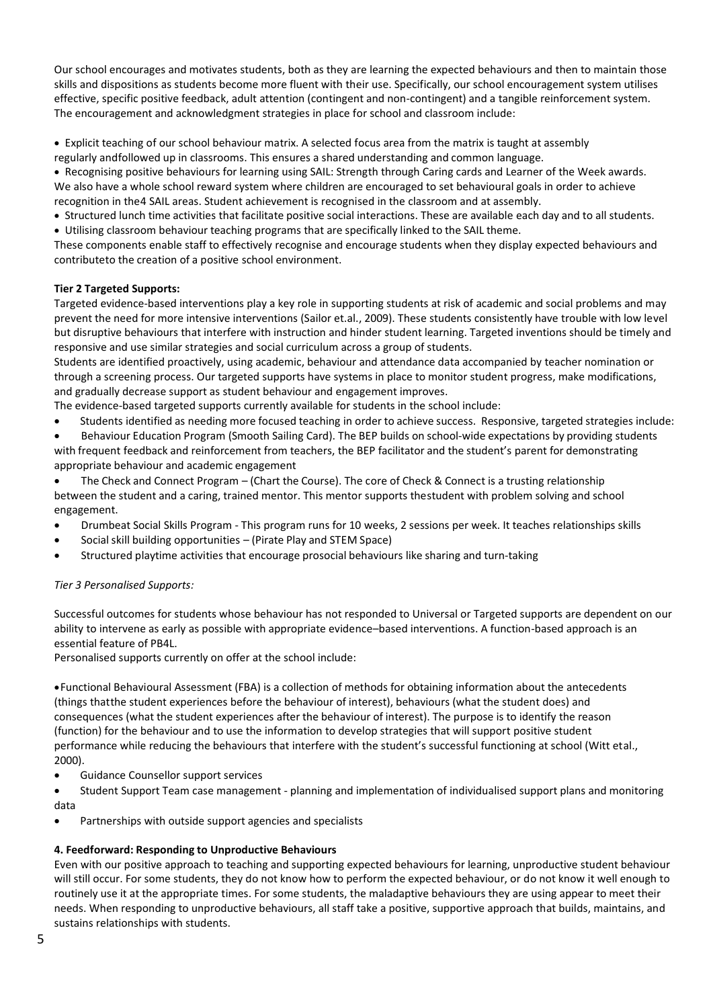Our school encourages and motivates students, both as they are learning the expected behaviours and then to maintain those skills and dispositions as students become more fluent with their use. Specifically, our school encouragement system utilises effective, specific positive feedback, adult attention (contingent and non-contingent) and a tangible reinforcement system. The encouragement and acknowledgment strategies in place for school and classroom include:

• Explicit teaching of our school behaviour matrix. A selected focus area from the matrix is taught at assembly regularly andfollowed up in classrooms. This ensures a shared understanding and common language.

• Recognising positive behaviours for learning using SAIL: Strength through Caring cards and Learner of the Week awards. We also have a whole school reward system where children are encouraged to set behavioural goals in order to achieve recognition in the4 SAIL areas. Student achievement is recognised in the classroom and at assembly.

- Structured lunch time activities that facilitate positive social interactions. These are available each day and to all students.
- Utilising classroom behaviour teaching programs that are specifically linked to the SAIL theme.

These components enable staff to effectively recognise and encourage students when they display expected behaviours and contributeto the creation of a positive school environment.

# **Tier 2 Targeted Supports:**

Targeted evidence-based interventions play a key role in supporting students at risk of academic and social problems and may prevent the need for more intensive interventions (Sailor et.al., 2009). These students consistently have trouble with low level but disruptive behaviours that interfere with instruction and hinder student learning. Targeted inventions should be timely and responsive and use similar strategies and social curriculum across a group of students.

Students are identified proactively, using academic, behaviour and attendance data accompanied by teacher nomination or through a screening process. Our targeted supports have systems in place to monitor student progress, make modifications, and gradually decrease support as student behaviour and engagement improves.

The evidence-based targeted supports currently available for students in the school include:

- Students identified as needing more focused teaching in order to achieve success. Responsive, targeted strategies include:
- Behaviour Education Program (Smooth Sailing Card). The BEP builds on school-wide expectations by providing students with frequent feedback and reinforcement from teachers, the BEP facilitator and the student's parent for demonstrating appropriate behaviour and academic engagement
- The Check and Connect Program (Chart the Course). The core of Check & Connect is a trusting relationship between the student and a caring, trained mentor. This mentor supports thestudent with problem solving and school engagement.
- Drumbeat Social Skills Program This program runs for 10 weeks, 2 sessions per week. It teaches relationships skills
- Social skill building opportunities (Pirate Play and STEM Space)
- Structured playtime activities that encourage prosocial behaviours like sharing and turn-taking

# *Tier 3 Personalised Supports:*

Successful outcomes for students whose behaviour has not responded to Universal or Targeted supports are dependent on our ability to intervene as early as possible with appropriate evidence–based interventions. A function-based approach is an essential feature of PB4L.

Personalised supports currently on offer at the school include:

•Functional Behavioural Assessment (FBA) is a collection of methods for obtaining information about the antecedents (things thatthe student experiences before the behaviour of interest), behaviours (what the student does) and consequences (what the student experiences after the behaviour of interest). The purpose is to identify the reason (function) for the behaviour and to use the information to develop strategies that will support positive student performance while reducing the behaviours that interfere with the student's successful functioning at school (Witt etal., 2000).

• Guidance Counsellor support services

• Student Support Team case management - planning and implementation of individualised support plans and monitoring data

• Partnerships with outside support agencies and specialists

# **4. Feedforward: Responding to Unproductive Behaviours**

Even with our positive approach to teaching and supporting expected behaviours for learning, unproductive student behaviour will still occur. For some students, they do not know how to perform the expected behaviour, or do not know it well enough to routinely use it at the appropriate times. For some students, the maladaptive behaviours they are using appear to meet their needs. When responding to unproductive behaviours, all staff take a positive, supportive approach that builds, maintains, and sustains relationships with students.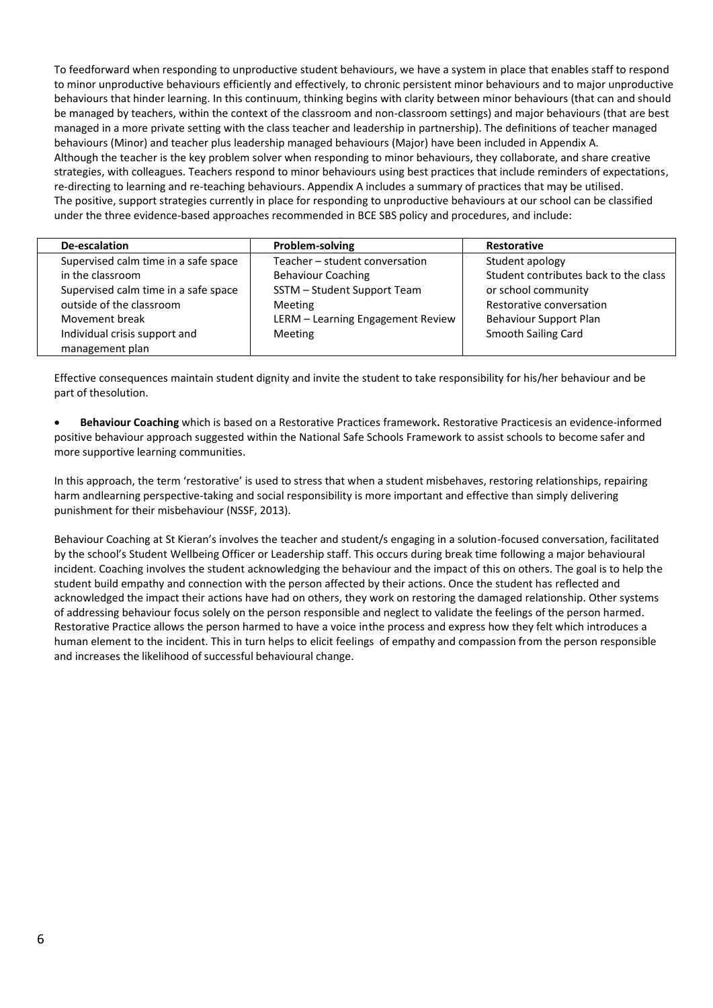To feedforward when responding to unproductive student behaviours, we have a system in place that enables staff to respond to minor unproductive behaviours efficiently and effectively, to chronic persistent minor behaviours and to major unproductive behaviours that hinder learning. In this continuum, thinking begins with clarity between minor behaviours (that can and should be managed by teachers, within the context of the classroom and non-classroom settings) and major behaviours (that are best managed in a more private setting with the class teacher and leadership in partnership). The definitions of teacher managed behaviours (Minor) and teacher plus leadership managed behaviours (Major) have been included in Appendix A. Although the teacher is the key problem solver when responding to minor behaviours, they collaborate, and share creative strategies, with colleagues. Teachers respond to minor behaviours using best practices that include reminders of expectations, re-directing to learning and re-teaching behaviours. Appendix A includes a summary of practices that may be utilised. The positive, support strategies currently in place for responding to unproductive behaviours at our school can be classified under the three evidence-based approaches recommended in BCE SBS policy and procedures, and include:

| De-escalation                        | Problem-solving                   | <b>Restorative</b>                    |
|--------------------------------------|-----------------------------------|---------------------------------------|
| Supervised calm time in a safe space | Teacher - student conversation    | Student apology                       |
| in the classroom                     | <b>Behaviour Coaching</b>         | Student contributes back to the class |
| Supervised calm time in a safe space | SSTM - Student Support Team       | or school community                   |
| outside of the classroom             | Meeting                           | Restorative conversation              |
| Movement break                       | LERM - Learning Engagement Review | Behaviour Support Plan                |
| Individual crisis support and        | Meeting                           | <b>Smooth Sailing Card</b>            |
| management plan                      |                                   |                                       |
|                                      |                                   |                                       |

Effective consequences maintain student dignity and invite the student to take responsibility for his/her behaviour and be part of thesolution.

• **Behaviour Coaching** which is based on a Restorative Practices framework**.** Restorative Practicesis an evidence-informed positive behaviour approach suggested within the National Safe Schools Framework to assist schools to become safer and more supportive learning communities.

In this approach, the term 'restorative' is used to stress that when a student misbehaves, restoring relationships, repairing harm andlearning perspective-taking and social responsibility is more important and effective than simply delivering punishment for their misbehaviour (NSSF, 2013).

Behaviour Coaching at St Kieran's involves the teacher and student/s engaging in a solution-focused conversation, facilitated by the school's Student Wellbeing Officer or Leadership staff. This occurs during break time following a major behavioural incident. Coaching involves the student acknowledging the behaviour and the impact of this on others. The goal is to help the student build empathy and connection with the person affected by their actions. Once the student has reflected and acknowledged the impact their actions have had on others, they work on restoring the damaged relationship. Other systems of addressing behaviour focus solely on the person responsible and neglect to validate the feelings of the person harmed. Restorative Practice allows the person harmed to have a voice inthe process and express how they felt which introduces a human element to the incident. This in turn helps to elicit feelings of empathy and compassion from the person responsible and increases the likelihood of successful behavioural change.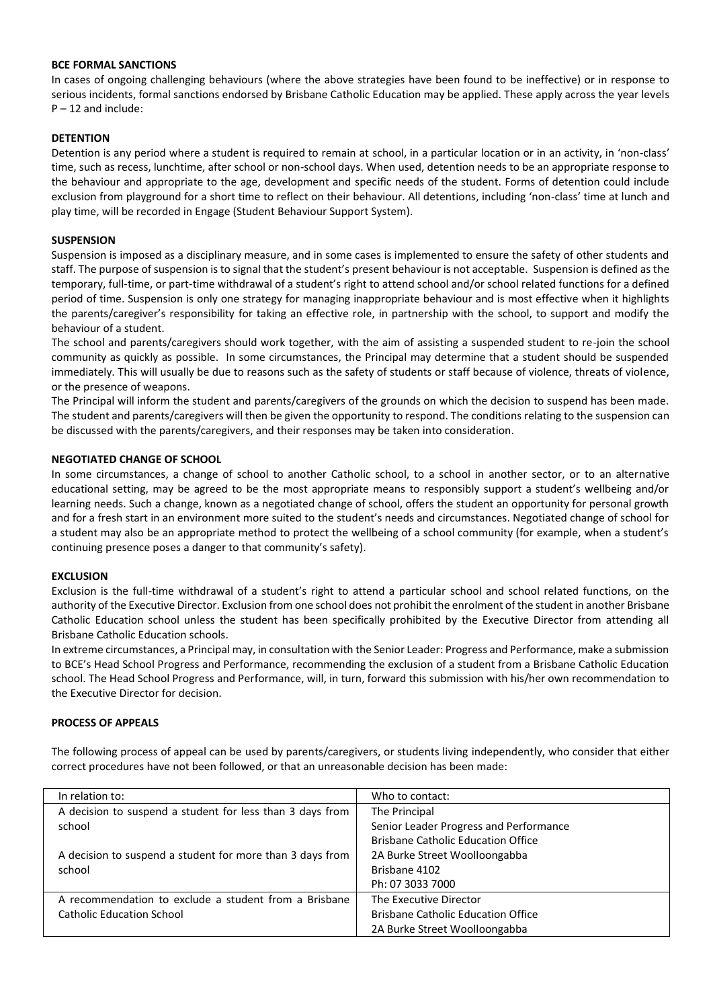#### **BCE FORMAL SANCTIONS**

In cases of ongoing challenging behaviours (where the above strategies have been found to be ineffective) or in response to serious incidents, formal sanctions endorsed by Brisbane Catholic Education may be applied. These apply across the year levels  $P - 12$  and include:

## **DETENTION**

Detention is any period where a student is required to remain at school, in a particular location or in an activity, in 'non-class' time, such as recess, lunchtime, after school or non-school days. When used, detention needs to be an appropriate response to the behaviour and appropriate to the age, development and specific needs of the student. Forms of detention could include exclusion from playground for a short time to reflect on their behaviour. All detentions, including 'non-class' time at lunch and play time, will be recorded in Engage (Student Behaviour Support System).

#### **SUSPENSION**

Suspension is imposed as a disciplinary measure, and in some cases is implemented to ensure the safety of other students and staff. The purpose of suspension is to signal that the student's present behaviour is not acceptable. Suspension is defined as the temporary, full-time, or part-time withdrawal of a student's right to attend school and/or school related functions for a defined period of time. Suspension is only one strategy for managing inappropriate behaviour and is most effective when it highlights the parents/caregiver's responsibility for taking an effective role, in partnership with the school, to support and modify the behaviour of a student.

The school and parents/caregivers should work together, with the aim of assisting a suspended student to re-join the school community as quickly as possible. In some circumstances, the Principal may determine that a student should be suspended immediately. This will usually be due to reasons such as the safety of students or staff because of violence, threats of violence, or the presence of weapons.

The Principal will inform the student and parents/caregivers of the grounds on which the decision to suspend has been made. The student and parents/caregivers will then be given the opportunity to respond. The conditions relating to the suspension can be discussed with the parents/caregivers, and their responses may be taken into consideration.

#### **NEGOTIATED CHANGE OF SCHOOL**

In some circumstances, a change of school to another Catholic school, to a school in another sector, or to an alternative educational setting, may be agreed to be the most appropriate means to responsibly support a student's wellbeing and/or learning needs. Such a change, known as a negotiated change of school, offers the student an opportunity for personal growth and for a fresh start in an environment more suited to the student's needs and circumstances. Negotiated change of school for a student may also be an appropriate method to protect the wellbeing of a school community (for example, when a student's continuing presence poses a danger to that community's safety).

#### **EXCLUSION**

Exclusion is the full-time withdrawal of a student's right to attend a particular school and school related functions, on the authority of the Executive Director. Exclusion from one school does not prohibit the enrolment of the student in another Brisbane Catholic Education school unless the student has been specifically prohibited by the Executive Director from attending all Brisbane Catholic Education schools.

In extreme circumstances, a Principal may, in consultation with the Senior Leader: Progress and Performance, make a submission to BCE's Head School Progress and Performance, recommending the exclusion of a student from a Brisbane Catholic Education school. The Head School Progress and Performance, will, in turn, forward this submission with his/her own recommendation to the Executive Director for decision.

#### **PROCESS OF APPEALS**

The following process of appeal can be used by parents/caregivers, or students living independently, who consider that either correct procedures have not been followed, or that an unreasonable decision has been made:

| In relation to:                                           | Who to contact:                           |
|-----------------------------------------------------------|-------------------------------------------|
| A decision to suspend a student for less than 3 days from | The Principal                             |
| school                                                    | Senior Leader Progress and Performance    |
|                                                           | <b>Brisbane Catholic Education Office</b> |
| A decision to suspend a student for more than 3 days from | 2A Burke Street Woolloongabba             |
| school                                                    | Brisbane 4102                             |
|                                                           | Ph: 07 3033 7000                          |
| A recommendation to exclude a student from a Brisbane     | The Executive Director                    |
| <b>Catholic Education School</b>                          | <b>Brisbane Catholic Education Office</b> |
|                                                           | 2A Burke Street Woolloongabba             |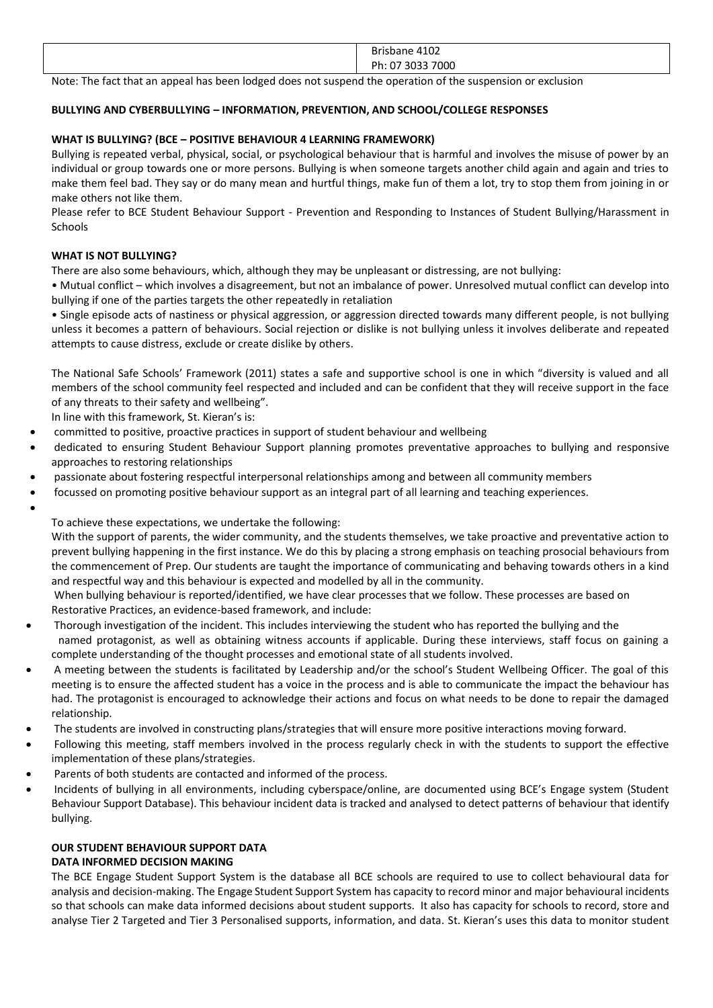| 102<br>D <sub>m</sub><br>`41U∠<br>ansu. |
|-----------------------------------------|
| Ph.<br>7000                             |

Note: The fact that an appeal has been lodged does not suspend the operation of the suspension or exclusion

## **BULLYING AND CYBERBULLYING – INFORMATION, PREVENTION, AND SCHOOL/COLLEGE RESPONSES**

### **WHAT IS BULLYING? (BCE – POSITIVE BEHAVIOUR 4 LEARNING FRAMEWORK)**

Bullying is repeated verbal, physical, social, or psychological behaviour that is harmful and involves the misuse of power by an individual or group towards one or more persons. Bullying is when someone targets another child again and again and tries to make them feel bad. They say or do many mean and hurtful things, make fun of them a lot, try to stop them from joining in or make others not like them.

Please refer to BCE Student Behaviour Support - Prevention and Responding to Instances of Student Bullying/Harassment in Schools

#### **WHAT IS NOT BULLYING?**

There are also some behaviours, which, although they may be unpleasant or distressing, are not bullying:

• Mutual conflict – which involves a disagreement, but not an imbalance of power. Unresolved mutual conflict can develop into bullying if one of the parties targets the other repeatedly in retaliation

• Single episode acts of nastiness or physical aggression, or aggression directed towards many different people, is not bullying unless it becomes a pattern of behaviours. Social rejection or dislike is not bullying unless it involves deliberate and repeated attempts to cause distress, exclude or create dislike by others.

The National Safe Schools' Framework (2011) states a safe and supportive school is one in which "diversity is valued and all members of the school community feel respected and included and can be confident that they will receive support in the face of any threats to their safety and wellbeing".

In line with this framework, St. Kieran's is:

- committed to positive, proactive practices in support of student behaviour and wellbeing
- dedicated to ensuring Student Behaviour Support planning promotes preventative approaches to bullying and responsive approaches to restoring relationships
- passionate about fostering respectful interpersonal relationships among and between all community members
- focussed on promoting positive behaviour support as an integral part of all learning and teaching experiences.
- •

To achieve these expectations, we undertake the following:

With the support of parents, the wider community, and the students themselves, we take proactive and preventative action to prevent bullying happening in the first instance. We do this by placing a strong emphasis on teaching prosocial behaviours from the commencement of Prep. Our students are taught the importance of communicating and behaving towards others in a kind and respectful way and this behaviour is expected and modelled by all in the community.

When bullying behaviour is reported/identified, we have clear processes that we follow. These processes are based on Restorative Practices, an evidence-based framework, and include:

- Thorough investigation of the incident. This includes interviewing the student who has reported the bullying and the named protagonist, as well as obtaining witness accounts if applicable. During these interviews, staff focus on gaining a complete understanding of the thought processes and emotional state of all students involved.
- A meeting between the students is facilitated by Leadership and/or the school's Student Wellbeing Officer. The goal of this meeting is to ensure the affected student has a voice in the process and is able to communicate the impact the behaviour has had. The protagonist is encouraged to acknowledge their actions and focus on what needs to be done to repair the damaged relationship.
- The students are involved in constructing plans/strategies that will ensure more positive interactions moving forward.
- Following this meeting, staff members involved in the process regularly check in with the students to support the effective implementation of these plans/strategies.
- Parents of both students are contacted and informed of the process.
- Incidents of bullying in all environments, including cyberspace/online, are documented using BCE's Engage system (Student Behaviour Support Database). This behaviour incident data is tracked and analysed to detect patterns of behaviour that identify bullying.

#### **OUR STUDENT BEHAVIOUR SUPPORT DATA DATA INFORMED DECISION MAKING**

The BCE Engage Student Support System is the database all BCE schools are required to use to collect behavioural data for analysis and decision-making. The Engage Student Support System has capacity to record minor and major behavioural incidents so that schools can make data informed decisions about student supports. It also has capacity for schools to record, store and analyse Tier 2 Targeted and Tier 3 Personalised supports, information, and data. St. Kieran's uses this data to monitor student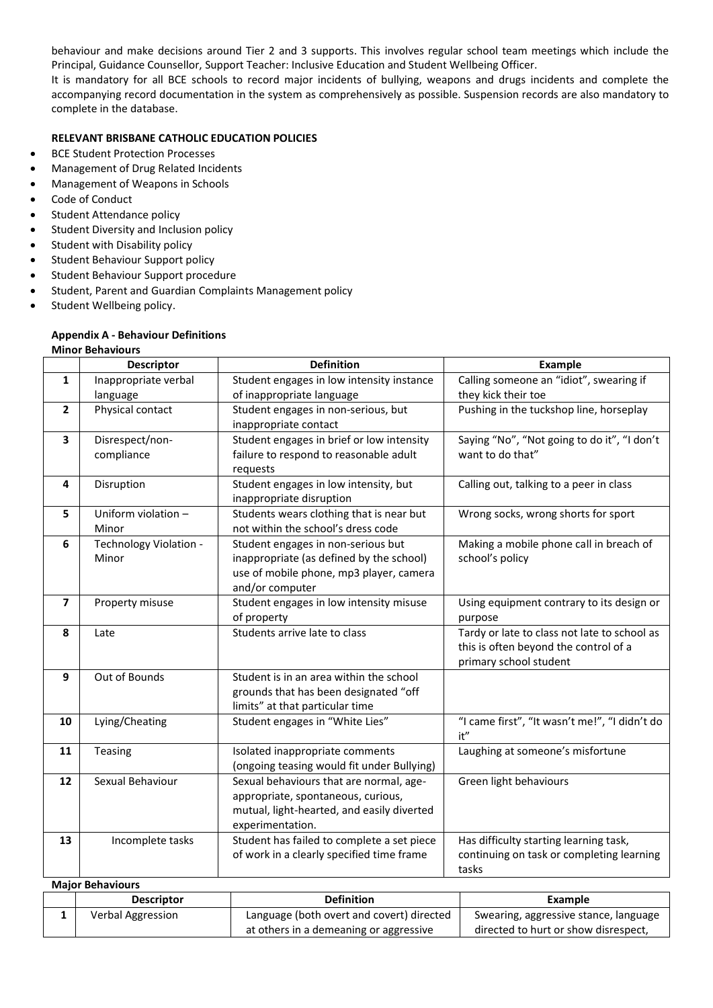behaviour and make decisions around Tier 2 and 3 supports. This involves regular school team meetings which include the Principal, Guidance Counsellor, Support Teacher: Inclusive Education and Student Wellbeing Officer.

It is mandatory for all BCE schools to record major incidents of bullying, weapons and drugs incidents and complete the accompanying record documentation in the system as comprehensively as possible. Suspension records are also mandatory to complete in the database.

#### **RELEVANT BRISBANE CATHOLIC EDUCATION POLICIES**

- BCE Student Protection Processes
- Management of Drug Related Incidents
- Management of Weapons in Schools
- Code of Conduct
- Student Attendance policy
- Student Diversity and Inclusion policy
- Student with Disability policy
- Student Behaviour Support policy
- Student Behaviour Support procedure
- Student, Parent and Guardian Complaints Management policy
- Student Wellbeing policy.

#### **Appendix A - Behaviour Definitions Minor Behaviours**

|                         | <b>Descriptor</b>       | <b>Definition</b>                          | Example                                       |  |
|-------------------------|-------------------------|--------------------------------------------|-----------------------------------------------|--|
| $\mathbf{1}$            | Inappropriate verbal    | Student engages in low intensity instance  | Calling someone an "idiot", swearing if       |  |
|                         | language                | of inappropriate language                  | they kick their toe                           |  |
| $\overline{2}$          | Physical contact        | Student engages in non-serious, but        | Pushing in the tuckshop line, horseplay       |  |
|                         |                         | inappropriate contact                      |                                               |  |
| 3                       | Disrespect/non-         | Student engages in brief or low intensity  | Saying "No", "Not going to do it", "I don't   |  |
|                         | compliance              | failure to respond to reasonable adult     | want to do that"                              |  |
|                         |                         | requests                                   |                                               |  |
| 4                       | Disruption              | Student engages in low intensity, but      | Calling out, talking to a peer in class       |  |
|                         |                         | inappropriate disruption                   |                                               |  |
| 5                       | Uniform violation -     | Students wears clothing that is near but   | Wrong socks, wrong shorts for sport           |  |
|                         | Minor                   | not within the school's dress code         |                                               |  |
| 6                       | Technology Violation -  | Student engages in non-serious but         | Making a mobile phone call in breach of       |  |
|                         | Minor                   | inappropriate (as defined by the school)   | school's policy                               |  |
|                         |                         | use of mobile phone, mp3 player, camera    |                                               |  |
|                         |                         | and/or computer                            |                                               |  |
| $\overline{\mathbf{z}}$ | Property misuse         | Student engages in low intensity misuse    | Using equipment contrary to its design or     |  |
|                         |                         | of property                                | purpose                                       |  |
| 8                       | Late                    | Students arrive late to class              | Tardy or late to class not late to school as  |  |
|                         |                         |                                            | this is often beyond the control of a         |  |
|                         |                         |                                            | primary school student                        |  |
| 9                       | Out of Bounds           | Student is in an area within the school    |                                               |  |
|                         |                         | grounds that has been designated "off      |                                               |  |
|                         |                         | limits" at that particular time            |                                               |  |
| 10                      | Lying/Cheating          | Student engages in "White Lies"            | "I came first", "It wasn't me!", "I didn't do |  |
|                         |                         |                                            | it"                                           |  |
| 11                      | Teasing                 | Isolated inappropriate comments            | Laughing at someone's misfortune              |  |
|                         |                         | (ongoing teasing would fit under Bullying) |                                               |  |
| 12                      | Sexual Behaviour        | Sexual behaviours that are normal, age-    | Green light behaviours                        |  |
|                         |                         | appropriate, spontaneous, curious,         |                                               |  |
|                         |                         | mutual, light-hearted, and easily diverted |                                               |  |
|                         |                         | experimentation.                           |                                               |  |
| 13                      | Incomplete tasks        | Student has failed to complete a set piece | Has difficulty starting learning task,        |  |
|                         |                         | of work in a clearly specified time frame  | continuing on task or completing learning     |  |
|                         |                         |                                            | tasks                                         |  |
|                         | <b>Major Behaviours</b> |                                            |                                               |  |

| <b>Descriptor</b> | <b>Definition</b>                         | Example                               |
|-------------------|-------------------------------------------|---------------------------------------|
| Verbal Aggression | Language (both overt and covert) directed | Swearing, aggressive stance, language |
|                   | at others in a demeaning or aggressive    | directed to hurt or show disrespect.  |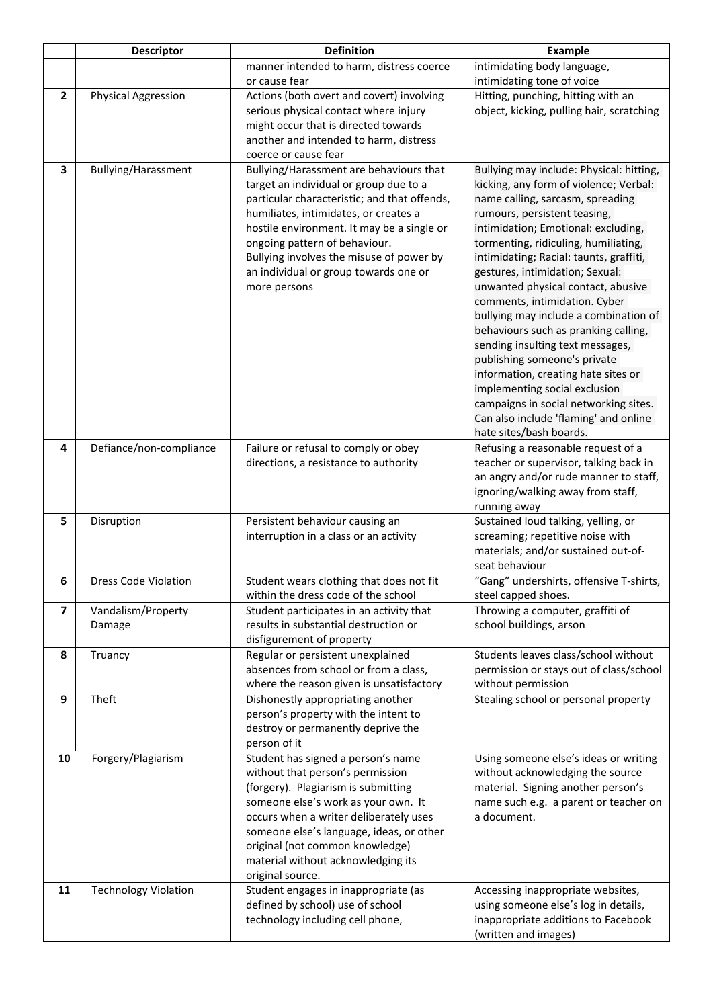|                | <b>Descriptor</b>            | <b>Definition</b>                                                                                                                                                                                                                                                                                                                                              | <b>Example</b>                                                                                                                                                                                                                                                                                                                                                                                                                                                                                                                                                                                                                                                                                                                       |  |
|----------------|------------------------------|----------------------------------------------------------------------------------------------------------------------------------------------------------------------------------------------------------------------------------------------------------------------------------------------------------------------------------------------------------------|--------------------------------------------------------------------------------------------------------------------------------------------------------------------------------------------------------------------------------------------------------------------------------------------------------------------------------------------------------------------------------------------------------------------------------------------------------------------------------------------------------------------------------------------------------------------------------------------------------------------------------------------------------------------------------------------------------------------------------------|--|
|                |                              | manner intended to harm, distress coerce<br>or cause fear                                                                                                                                                                                                                                                                                                      | intimidating body language,<br>intimidating tone of voice                                                                                                                                                                                                                                                                                                                                                                                                                                                                                                                                                                                                                                                                            |  |
| $\overline{2}$ | <b>Physical Aggression</b>   | Actions (both overt and covert) involving<br>serious physical contact where injury<br>might occur that is directed towards<br>another and intended to harm, distress<br>coerce or cause fear                                                                                                                                                                   | Hitting, punching, hitting with an<br>object, kicking, pulling hair, scratching                                                                                                                                                                                                                                                                                                                                                                                                                                                                                                                                                                                                                                                      |  |
| 3              | Bullying/Harassment          | Bullying/Harassment are behaviours that<br>target an individual or group due to a<br>particular characteristic; and that offends,<br>humiliates, intimidates, or creates a<br>hostile environment. It may be a single or<br>ongoing pattern of behaviour.<br>Bullying involves the misuse of power by<br>an individual or group towards one or<br>more persons | Bullying may include: Physical: hitting,<br>kicking, any form of violence; Verbal:<br>name calling, sarcasm, spreading<br>rumours, persistent teasing,<br>intimidation; Emotional: excluding,<br>tormenting, ridiculing, humiliating,<br>intimidating; Racial: taunts, graffiti,<br>gestures, intimidation; Sexual:<br>unwanted physical contact, abusive<br>comments, intimidation. Cyber<br>bullying may include a combination of<br>behaviours such as pranking calling,<br>sending insulting text messages,<br>publishing someone's private<br>information, creating hate sites or<br>implementing social exclusion<br>campaigns in social networking sites.<br>Can also include 'flaming' and online<br>hate sites/bash boards. |  |
| 4              | Defiance/non-compliance      | Failure or refusal to comply or obey<br>directions, a resistance to authority                                                                                                                                                                                                                                                                                  | Refusing a reasonable request of a<br>teacher or supervisor, talking back in<br>an angry and/or rude manner to staff,<br>ignoring/walking away from staff,<br>running away                                                                                                                                                                                                                                                                                                                                                                                                                                                                                                                                                           |  |
| 5              | Disruption                   | Persistent behaviour causing an<br>interruption in a class or an activity                                                                                                                                                                                                                                                                                      | Sustained loud talking, yelling, or<br>screaming; repetitive noise with<br>materials; and/or sustained out-of-<br>seat behaviour                                                                                                                                                                                                                                                                                                                                                                                                                                                                                                                                                                                                     |  |
| 6              | <b>Dress Code Violation</b>  | Student wears clothing that does not fit<br>within the dress code of the school                                                                                                                                                                                                                                                                                | "Gang" undershirts, offensive T-shirts,<br>steel capped shoes.                                                                                                                                                                                                                                                                                                                                                                                                                                                                                                                                                                                                                                                                       |  |
| 7              | Vandalism/Property<br>Damage | Student participates in an activity that<br>results in substantial destruction or<br>disfigurement of property                                                                                                                                                                                                                                                 | Throwing a computer, graffiti of<br>school buildings, arson                                                                                                                                                                                                                                                                                                                                                                                                                                                                                                                                                                                                                                                                          |  |
| 8              | Truancy                      | Regular or persistent unexplained<br>absences from school or from a class,<br>where the reason given is unsatisfactory                                                                                                                                                                                                                                         | Students leaves class/school without<br>permission or stays out of class/school<br>without permission                                                                                                                                                                                                                                                                                                                                                                                                                                                                                                                                                                                                                                |  |
| 9              | Theft                        | Dishonestly appropriating another<br>person's property with the intent to<br>destroy or permanently deprive the<br>person of it                                                                                                                                                                                                                                | Stealing school or personal property                                                                                                                                                                                                                                                                                                                                                                                                                                                                                                                                                                                                                                                                                                 |  |
| 10             | Forgery/Plagiarism           | Student has signed a person's name<br>without that person's permission<br>(forgery). Plagiarism is submitting<br>someone else's work as your own. It<br>occurs when a writer deliberately uses<br>someone else's language, ideas, or other<br>original (not common knowledge)<br>material without acknowledging its<br>original source.                        | Using someone else's ideas or writing<br>without acknowledging the source<br>material. Signing another person's<br>name such e.g. a parent or teacher on<br>a document.                                                                                                                                                                                                                                                                                                                                                                                                                                                                                                                                                              |  |
| 11             | <b>Technology Violation</b>  | Student engages in inappropriate (as<br>defined by school) use of school<br>technology including cell phone,                                                                                                                                                                                                                                                   | Accessing inappropriate websites,<br>using someone else's log in details,<br>inappropriate additions to Facebook<br>(written and images)                                                                                                                                                                                                                                                                                                                                                                                                                                                                                                                                                                                             |  |